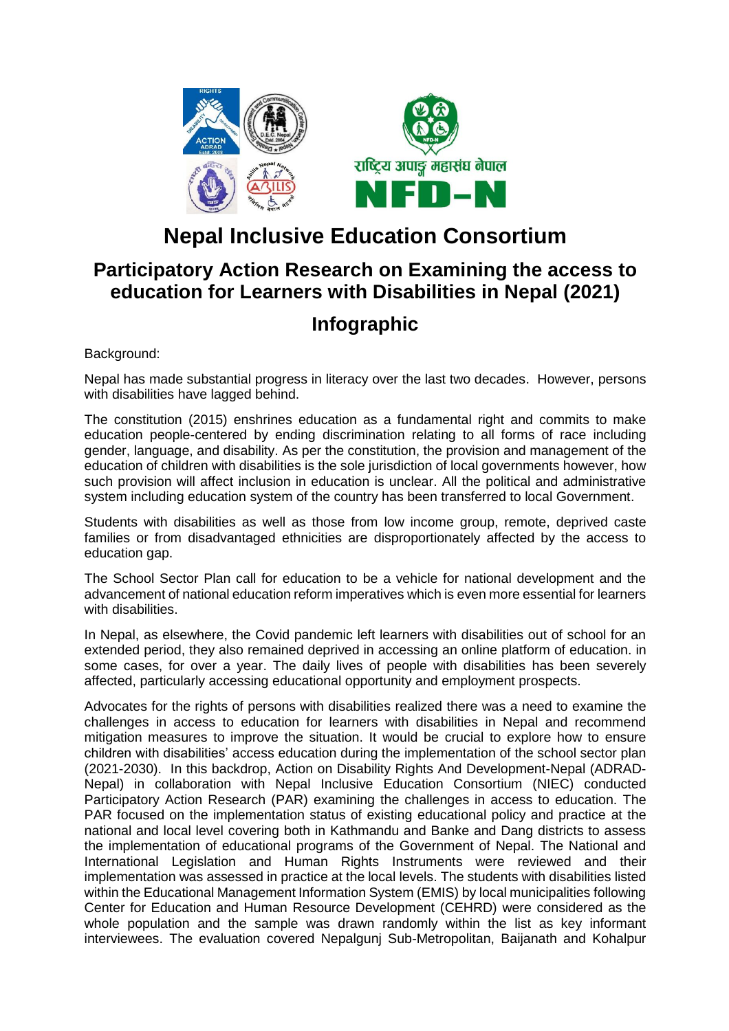

# **Nepal Inclusive Education Consortium**

# **Participatory Action Research on Examining the access to education for Learners with Disabilities in Nepal (2021)**

# **Infographic**

Background:

Nepal has made substantial progress in literacy over the last two decades. However, persons with disabilities have lagged behind.

The constitution (2015) enshrines education as a fundamental right and commits to make education people-centered by ending discrimination relating to all forms of race including gender, language, and disability. As per the constitution, the provision and management of the education of children with disabilities is the sole jurisdiction of local governments however, how such provision will affect inclusion in education is unclear. All the political and administrative system including education system of the country has been transferred to local Government.

Students with disabilities as well as those from low income group, remote, deprived caste families or from disadvantaged ethnicities are disproportionately affected by the access to education gap.

The School Sector Plan call for education to be a vehicle for national development and the advancement of national education reform imperatives which is even more essential for learners with disabilities.

In Nepal, as elsewhere, the Covid pandemic left learners with disabilities out of school for an extended period, they also remained deprived in accessing an online platform of education. in some cases, for over a year. The daily lives of people with disabilities has been severely affected, particularly accessing educational opportunity and employment prospects.

Advocates for the rights of persons with disabilities realized there was a need to examine the challenges in access to education for learners with disabilities in Nepal and recommend mitigation measures to improve the situation. It would be crucial to explore how to ensure children with disabilities' access education during the implementation of the school sector plan (2021-2030). In this backdrop, Action on Disability Rights And Development-Nepal (ADRAD-Nepal) in collaboration with Nepal Inclusive Education Consortium (NIEC) conducted Participatory Action Research (PAR) examining the challenges in access to education. The PAR focused on the implementation status of existing educational policy and practice at the national and local level covering both in Kathmandu and Banke and Dang districts to assess the implementation of educational programs of the Government of Nepal. The National and International Legislation and Human Rights Instruments were reviewed and their implementation was assessed in practice at the local levels. The students with disabilities listed within the Educational Management Information System (EMIS) by local municipalities following Center for Education and Human Resource Development (CEHRD) were considered as the whole population and the sample was drawn randomly within the list as key informant interviewees. The evaluation covered Nepalgunj Sub-Metropolitan, Baijanath and Kohalpur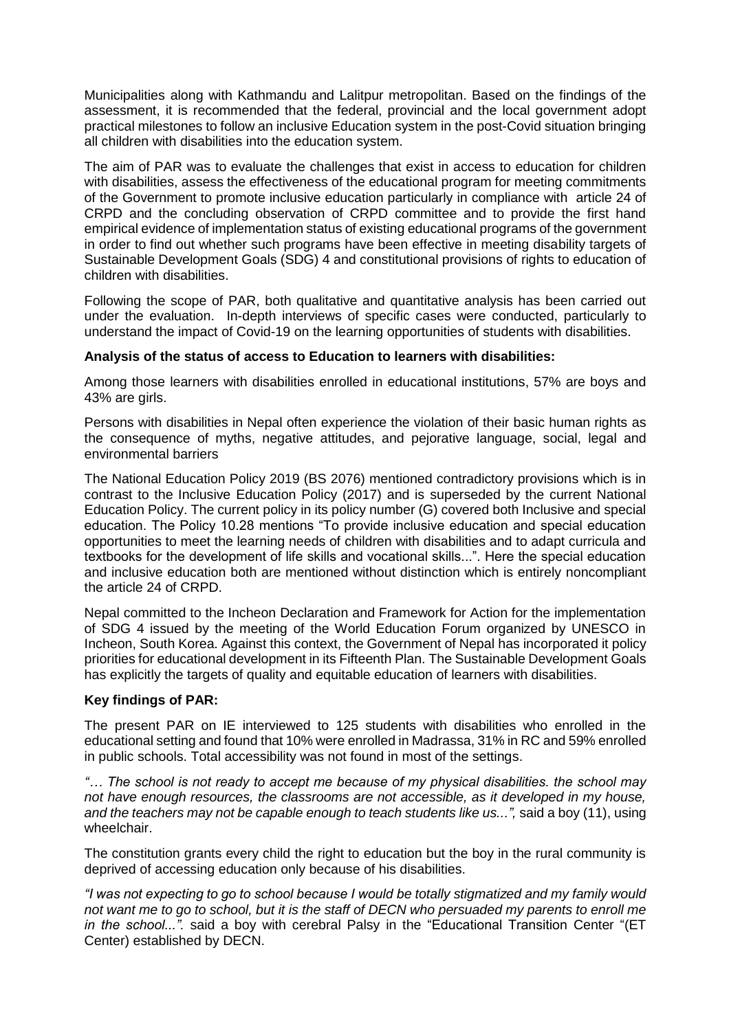Municipalities along with Kathmandu and Lalitpur metropolitan. Based on the findings of the assessment, it is recommended that the federal, provincial and the local government adopt practical milestones to follow an inclusive Education system in the post-Covid situation bringing all children with disabilities into the education system.

The aim of PAR was to evaluate the challenges that exist in access to education for children with disabilities, assess the effectiveness of the educational program for meeting commitments of the Government to promote inclusive education particularly in compliance with article 24 of CRPD and the concluding observation of CRPD committee and to provide the first hand empirical evidence of implementation status of existing educational programs of the government in order to find out whether such programs have been effective in meeting disability targets of Sustainable Development Goals (SDG) 4 and constitutional provisions of rights to education of children with disabilities.

Following the scope of PAR, both qualitative and quantitative analysis has been carried out under the evaluation. In-depth interviews of specific cases were conducted, particularly to understand the impact of Covid-19 on the learning opportunities of students with disabilities.

# **Analysis of the status of access to Education to learners with disabilities:**

Among those learners with disabilities enrolled in educational institutions, 57% are boys and 43% are girls.

Persons with disabilities in Nepal often experience the violation of their basic human rights as the consequence of myths, negative attitudes, and pejorative language, social, legal and environmental barriers

The National Education Policy 2019 (BS 2076) mentioned contradictory provisions which is in contrast to the Inclusive Education Policy (2017) and is superseded by the current National Education Policy. The current policy in its policy number (G) covered both Inclusive and special education. The Policy 10.28 mentions "To provide inclusive education and special education opportunities to meet the learning needs of children with disabilities and to adapt curricula and textbooks for the development of life skills and vocational skills...". Here the special education and inclusive education both are mentioned without distinction which is entirely noncompliant the article 24 of CRPD.

Nepal committed to the Incheon Declaration and Framework for Action for the implementation of SDG 4 issued by the meeting of the World Education Forum organized by UNESCO in Incheon, South Korea. Against this context, the Government of Nepal has incorporated it policy priorities for educational development in its Fifteenth Plan. The Sustainable Development Goals has explicitly the targets of quality and equitable education of learners with disabilities.

# **Key findings of PAR:**

The present PAR on IE interviewed to 125 students with disabilities who enrolled in the educational setting and found that 10% were enrolled in Madrassa, 31% in RC and 59% enrolled in public schools. Total accessibility was not found in most of the settings.

*"… The school is not ready to accept me because of my physical disabilities. the school may not have enough resources, the classrooms are not accessible, as it developed in my house, and the teachers may not be capable enough to teach students like us...",* said a boy (11), using wheelchair.

The constitution grants every child the right to education but the boy in the rural community is deprived of accessing education only because of his disabilities.

*"I was not expecting to go to school because I would be totally stigmatized and my family would not want me to go to school, but it is the staff of DECN who persuaded my parents to enroll me in the school...".* said a boy with cerebral Palsy in the "Educational Transition Center "(ET Center) established by DECN.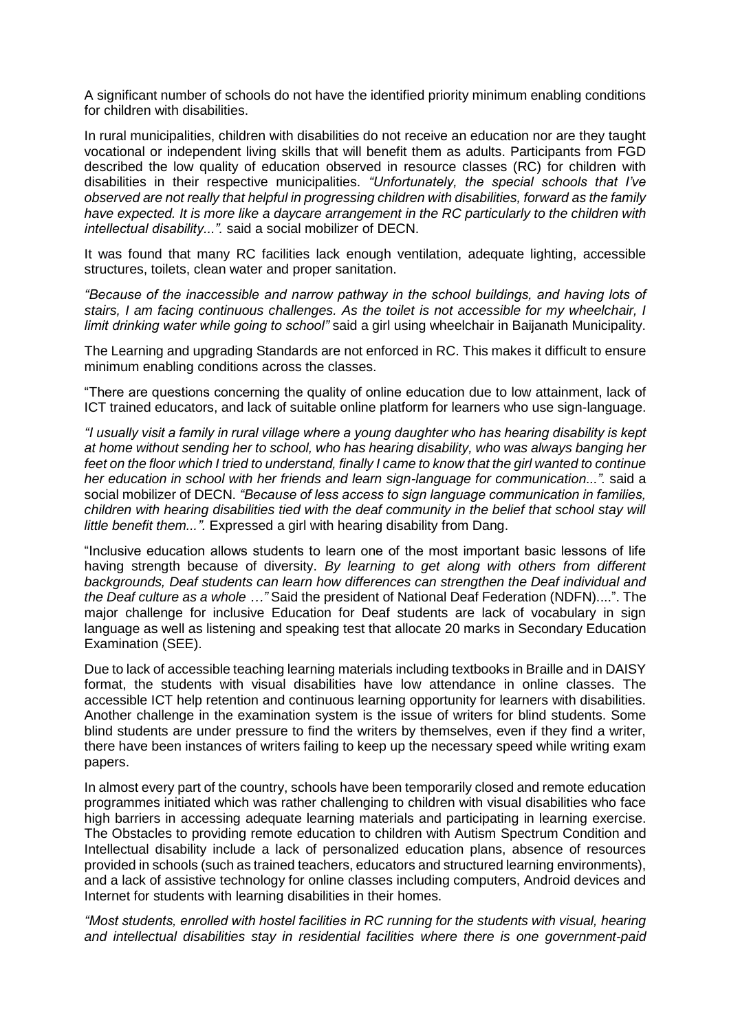A significant number of schools do not have the identified priority minimum enabling conditions for children with disabilities.

In rural municipalities, children with disabilities do not receive an education nor are they taught vocational or independent living skills that will benefit them as adults. Participants from FGD described the low quality of education observed in resource classes (RC) for children with disabilities in their respective municipalities. *"Unfortunately, the special schools that I've observed are not really that helpful in progressing children with disabilities, forward as the family have expected. It is more like a daycare arrangement in the RC particularly to the children with intellectual disability...".* said a social mobilizer of DECN.

It was found that many RC facilities lack enough ventilation, adequate lighting, accessible structures, toilets, clean water and proper sanitation.

*"Because of the inaccessible and narrow pathway in the school buildings, and having lots of stairs, I am facing continuous challenges. As the toilet is not accessible for my wheelchair, I limit drinking water while going to school"* said a girl using wheelchair in Baijanath Municipality.

The Learning and upgrading Standards are not enforced in RC. This makes it difficult to ensure minimum enabling conditions across the classes.

"There are questions concerning the quality of online education due to low attainment, lack of ICT trained educators, and lack of suitable online platform for learners who use sign-language.

*"I usually visit a family in rural village where a young daughter who has hearing disability is kept at home without sending her to school, who has hearing disability, who was always banging her feet on the floor which I tried to understand, finally I came to know that the girl wanted to continue her education in school with her friends and learn sign-language for communication...".* said a social mobilizer of DECN. *"Because of less access to sign language communication in families, children with hearing disabilities tied with the deaf community in the belief that school stay will little benefit them...".* Expressed a girl with hearing disability from Dang.

"Inclusive education allows students to learn one of the most important basic lessons of life having strength because of diversity. *By learning to get along with others from different backgrounds, Deaf students can learn how differences can strengthen the Deaf individual and the Deaf culture as a whole …"* Said the president of National Deaf Federation (NDFN)....". The major challenge for inclusive Education for Deaf students are lack of vocabulary in sign language as well as listening and speaking test that allocate 20 marks in Secondary Education Examination (SEE).

Due to lack of accessible teaching learning materials including textbooks in Braille and in DAISY format, the students with visual disabilities have low attendance in online classes. The accessible ICT help retention and continuous learning opportunity for learners with disabilities. Another challenge in the examination system is the issue of writers for blind students. Some blind students are under pressure to find the writers by themselves, even if they find a writer, there have been instances of writers failing to keep up the necessary speed while writing exam papers.

In almost every part of the country, schools have been temporarily closed and remote education programmes initiated which was rather challenging to children with visual disabilities who face high barriers in accessing adequate learning materials and participating in learning exercise. The Obstacles to providing remote education to children with Autism Spectrum Condition and Intellectual disability include a lack of personalized education plans, absence of resources provided in schools (such as trained teachers, educators and structured learning environments), and a lack of assistive technology for online classes including computers, Android devices and Internet for students with learning disabilities in their homes.

*"Most students, enrolled with hostel facilities in RC running for the students with visual, hearing and intellectual disabilities stay in residential facilities where there is one government-paid*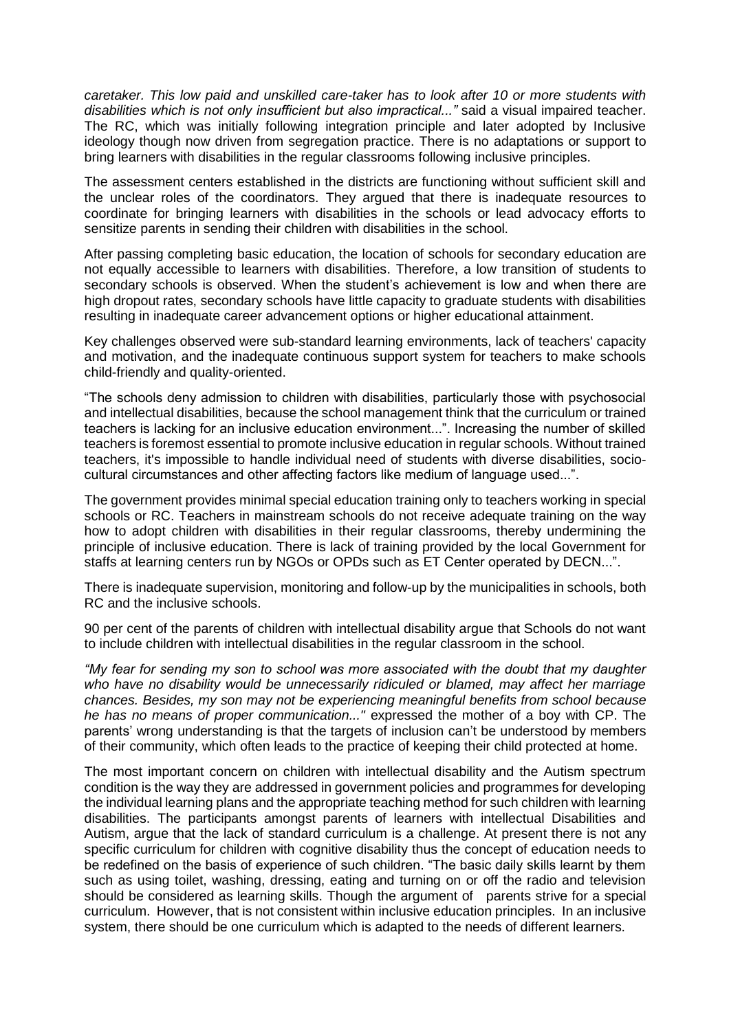*caretaker. This low paid and unskilled care-taker has to look after 10 or more students with disabilities which is not only insufficient but also impractical..."* said a visual impaired teacher. The RC, which was initially following integration principle and later adopted by Inclusive ideology though now driven from segregation practice. There is no adaptations or support to bring learners with disabilities in the regular classrooms following inclusive principles.

The assessment centers established in the districts are functioning without sufficient skill and the unclear roles of the coordinators. They argued that there is inadequate resources to coordinate for bringing learners with disabilities in the schools or lead advocacy efforts to sensitize parents in sending their children with disabilities in the school.

After passing completing basic education, the location of schools for secondary education are not equally accessible to learners with disabilities. Therefore, a low transition of students to secondary schools is observed. When the student's achievement is low and when there are high dropout rates, secondary schools have little capacity to graduate students with disabilities resulting in inadequate career advancement options or higher educational attainment.

Key challenges observed were sub-standard learning environments, lack of teachers' capacity and motivation, and the inadequate continuous support system for teachers to make schools child-friendly and quality-oriented.

"The schools deny admission to children with disabilities, particularly those with psychosocial and intellectual disabilities, because the school management think that the curriculum or trained teachers is lacking for an inclusive education environment...". Increasing the number of skilled teachers is foremost essential to promote inclusive education in regular schools. Without trained teachers, it's impossible to handle individual need of students with diverse disabilities, sociocultural circumstances and other affecting factors like medium of language used...".

The government provides minimal special education training only to teachers working in special schools or RC. Teachers in mainstream schools do not receive adequate training on the way how to adopt children with disabilities in their regular classrooms, thereby undermining the principle of inclusive education. There is lack of training provided by the local Government for staffs at learning centers run by NGOs or OPDs such as ET Center operated by DECN...".

There is inadequate supervision, monitoring and follow-up by the municipalities in schools, both RC and the inclusive schools.

90 per cent of the parents of children with intellectual disability argue that Schools do not want to include children with intellectual disabilities in the regular classroom in the school.

*"My fear for sending my son to school was more associated with the doubt that my daughter who have no disability would be unnecessarily ridiculed or blamed, may affect her marriage chances. Besides, my son may not be experiencing meaningful benefits from school because he has no means of proper communication..."* expressed the mother of a boy with CP. The parents' wrong understanding is that the targets of inclusion can't be understood by members of their community, which often leads to the practice of keeping their child protected at home.

The most important concern on children with intellectual disability and the Autism spectrum condition is the way they are addressed in government policies and programmes for developing the individual learning plans and the appropriate teaching method for such children with learning disabilities. The participants amongst parents of learners with intellectual Disabilities and Autism, argue that the lack of standard curriculum is a challenge. At present there is not any specific curriculum for children with cognitive disability thus the concept of education needs to be redefined on the basis of experience of such children. "The basic daily skills learnt by them such as using toilet, washing, dressing, eating and turning on or off the radio and television should be considered as learning skills. Though the argument of parents strive for a special curriculum. However, that is not consistent within inclusive education principles. In an inclusive system, there should be one curriculum which is adapted to the needs of different learners.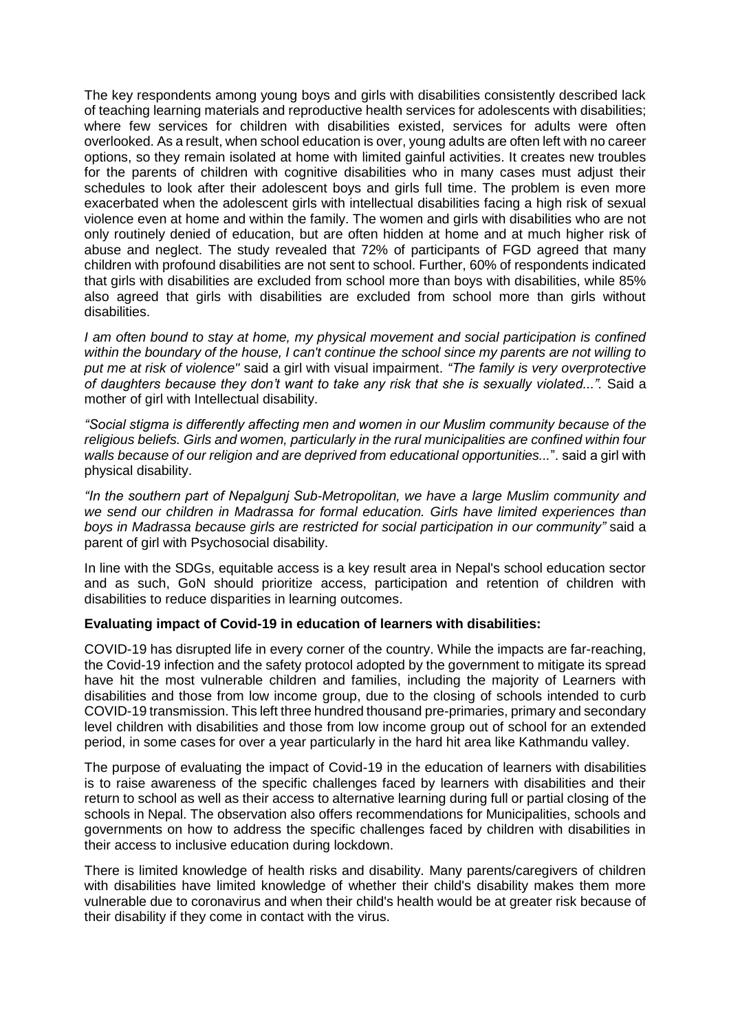The key respondents among young boys and girls with disabilities consistently described lack of teaching learning materials and reproductive health services for adolescents with disabilities; where few services for children with disabilities existed, services for adults were often overlooked. As a result, when school education is over, young adults are often left with no career options, so they remain isolated at home with limited gainful activities. It creates new troubles for the parents of children with cognitive disabilities who in many cases must adjust their schedules to look after their adolescent boys and girls full time. The problem is even more exacerbated when the adolescent girls with intellectual disabilities facing a high risk of sexual violence even at home and within the family. The women and girls with disabilities who are not only routinely denied of education, but are often hidden at home and at much higher risk of abuse and neglect. The study revealed that 72% of participants of FGD agreed that many children with profound disabilities are not sent to school. Further, 60% of respondents indicated that girls with disabilities are excluded from school more than boys with disabilities, while 85% also agreed that girls with disabilities are excluded from school more than girls without disabilities.

*I am often bound to stay at home, my physical movement and social participation is confined within the boundary of the house, I can't continue the school since my parents are not willing to put me at risk of violence"* said a girl with visual impairment. *"The family is very overprotective of daughters because they don't want to take any risk that she is sexually violated...".* Said a mother of girl with Intellectual disability.

*"Social stigma is differently affecting men and women in our Muslim community because of the religious beliefs. Girls and women, particularly in the rural municipalities are confined within four walls because of our religion and are deprived from educational opportunities...*". said a girl with physical disability.

*"In the southern part of Nepalgunj Sub-Metropolitan, we have a large Muslim community and we send our children in Madrassa for formal education. Girls have limited experiences than boys in Madrassa because girls are restricted for social participation in our community"* said a parent of girl with Psychosocial disability.

In line with the SDGs, equitable access is a key result area in Nepal's school education sector and as such, GoN should prioritize access, participation and retention of children with disabilities to reduce disparities in learning outcomes.

# **Evaluating impact of Covid-19 in education of learners with disabilities:**

COVID-19 has disrupted life in every corner of the country. While the impacts are far-reaching, the Covid-19 infection and the safety protocol adopted by the government to mitigate its spread have hit the most vulnerable children and families, including the majority of Learners with disabilities and those from low income group, due to the closing of schools intended to curb COVID-19 transmission. This left three hundred thousand pre-primaries, primary and secondary level children with disabilities and those from low income group out of school for an extended period, in some cases for over a year particularly in the hard hit area like Kathmandu valley.

The purpose of evaluating the impact of Covid-19 in the education of learners with disabilities is to raise awareness of the specific challenges faced by learners with disabilities and their return to school as well as their access to alternative learning during full or partial closing of the schools in Nepal. The observation also offers recommendations for Municipalities, schools and governments on how to address the specific challenges faced by children with disabilities in their access to inclusive education during lockdown.

There is limited knowledge of health risks and disability. Many parents/caregivers of children with disabilities have limited knowledge of whether their child's disability makes them more vulnerable due to coronavirus and when their child's health would be at greater risk because of their disability if they come in contact with the virus.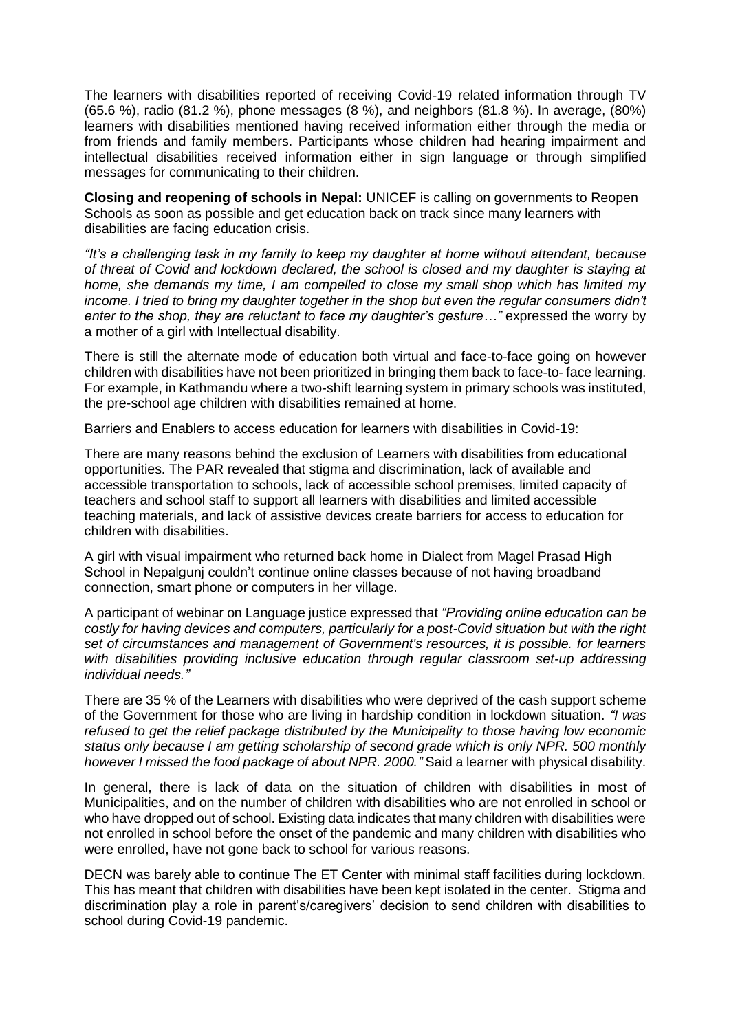The learners with disabilities reported of receiving Covid-19 related information through TV (65.6 %), radio (81.2 %), phone messages (8 %), and neighbors (81.8 %). In average, (80%) learners with disabilities mentioned having received information either through the media or from friends and family members. Participants whose children had hearing impairment and intellectual disabilities received information either in sign language or through simplified messages for communicating to their children.

**Closing and reopening of schools in Nepal:** UNICEF is calling on governments to Reopen Schools as soon as possible and get education back on track since many learners with disabilities are facing education crisis.

*"It's a challenging task in my family to keep my daughter at home without attendant, because of threat of Covid and lockdown declared, the school is closed and my daughter is staying at home, she demands my time, I am compelled to close my small shop which has limited my*  income. I tried to bring my daughter together in the shop but even the regular consumers didn't *enter to the shop, they are reluctant to face my daughter's gesture…"* expressed the worry by a mother of a girl with Intellectual disability.

There is still the alternate mode of education both virtual and face-to-face going on however children with disabilities have not been prioritized in bringing them back to face-to- face learning. For example, in Kathmandu where a two-shift learning system in primary schools was instituted, the pre-school age children with disabilities remained at home.

Barriers and Enablers to access education for learners with disabilities in Covid-19:

There are many reasons behind the exclusion of Learners with disabilities from educational opportunities. The PAR revealed that stigma and discrimination, lack of available and accessible transportation to schools, lack of accessible school premises, limited capacity of teachers and school staff to support all learners with disabilities and limited accessible teaching materials, and lack of assistive devices create barriers for access to education for children with disabilities.

A girl with visual impairment who returned back home in Dialect from Magel Prasad High School in Nepalgunj couldn't continue online classes because of not having broadband connection, smart phone or computers in her village.

A participant of webinar on Language justice expressed that *"Providing online education can be costly for having devices and computers, particularly for a post-Covid situation but with the right set of circumstances and management of Government's resources, it is possible. for learners with disabilities providing inclusive education through regular classroom set-up addressing individual needs."* 

There are 35 % of the Learners with disabilities who were deprived of the cash support scheme of the Government for those who are living in hardship condition in lockdown situation. *"I was refused to get the relief package distributed by the Municipality to those having low economic status only because I am getting scholarship of second grade which is only NPR. 500 monthly however I missed the food package of about NPR. 2000."* Said a learner with physical disability.

In general, there is lack of data on the situation of children with disabilities in most of Municipalities, and on the number of children with disabilities who are not enrolled in school or who have dropped out of school. Existing data indicates that many children with disabilities were not enrolled in school before the onset of the pandemic and many children with disabilities who were enrolled, have not gone back to school for various reasons.

DECN was barely able to continue The ET Center with minimal staff facilities during lockdown. This has meant that children with disabilities have been kept isolated in the center. Stigma and discrimination play a role in parent's/caregivers' decision to send children with disabilities to school during Covid-19 pandemic.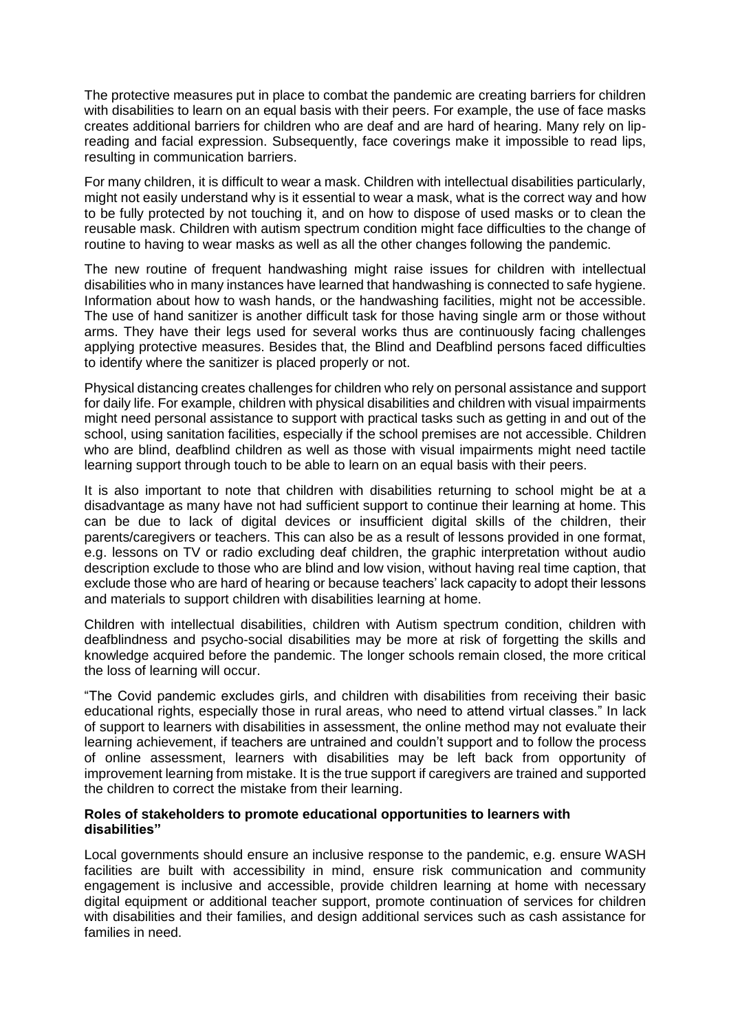The protective measures put in place to combat the pandemic are creating barriers for children with disabilities to learn on an equal basis with their peers. For example, the use of face masks creates additional barriers for children who are deaf and are hard of hearing. Many rely on lipreading and facial expression. Subsequently, face coverings make it impossible to read lips, resulting in communication barriers.

For many children, it is difficult to wear a mask. Children with intellectual disabilities particularly, might not easily understand why is it essential to wear a mask, what is the correct way and how to be fully protected by not touching it, and on how to dispose of used masks or to clean the reusable mask. Children with autism spectrum condition might face difficulties to the change of routine to having to wear masks as well as all the other changes following the pandemic.

The new routine of frequent handwashing might raise issues for children with intellectual disabilities who in many instances have learned that handwashing is connected to safe hygiene. Information about how to wash hands, or the handwashing facilities, might not be accessible. The use of hand sanitizer is another difficult task for those having single arm or those without arms. They have their legs used for several works thus are continuously facing challenges applying protective measures. Besides that, the Blind and Deafblind persons faced difficulties to identify where the sanitizer is placed properly or not.

Physical distancing creates challenges for children who rely on personal assistance and support for daily life. For example, children with physical disabilities and children with visual impairments might need personal assistance to support with practical tasks such as getting in and out of the school, using sanitation facilities, especially if the school premises are not accessible. Children who are blind, deafblind children as well as those with visual impairments might need tactile learning support through touch to be able to learn on an equal basis with their peers.

It is also important to note that children with disabilities returning to school might be at a disadvantage as many have not had sufficient support to continue their learning at home. This can be due to lack of digital devices or insufficient digital skills of the children, their parents/caregivers or teachers. This can also be as a result of lessons provided in one format, e.g. lessons on TV or radio excluding deaf children, the graphic interpretation without audio description exclude to those who are blind and low vision, without having real time caption, that exclude those who are hard of hearing or because teachers' lack capacity to adopt their lessons and materials to support children with disabilities learning at home.

Children with intellectual disabilities, children with Autism spectrum condition, children with deafblindness and psycho-social disabilities may be more at risk of forgetting the skills and knowledge acquired before the pandemic. The longer schools remain closed, the more critical the loss of learning will occur.

"The Covid pandemic excludes girls, and children with disabilities from receiving their basic educational rights, especially those in rural areas, who need to attend virtual classes." In lack of support to learners with disabilities in assessment, the online method may not evaluate their learning achievement, if teachers are untrained and couldn't support and to follow the process of online assessment, learners with disabilities may be left back from opportunity of improvement learning from mistake. It is the true support if caregivers are trained and supported the children to correct the mistake from their learning.

#### **Roles of stakeholders to promote educational opportunities to learners with disabilities"**

Local governments should ensure an inclusive response to the pandemic, e.g. ensure WASH facilities are built with accessibility in mind, ensure risk communication and community engagement is inclusive and accessible, provide children learning at home with necessary digital equipment or additional teacher support, promote continuation of services for children with disabilities and their families, and design additional services such as cash assistance for families in need.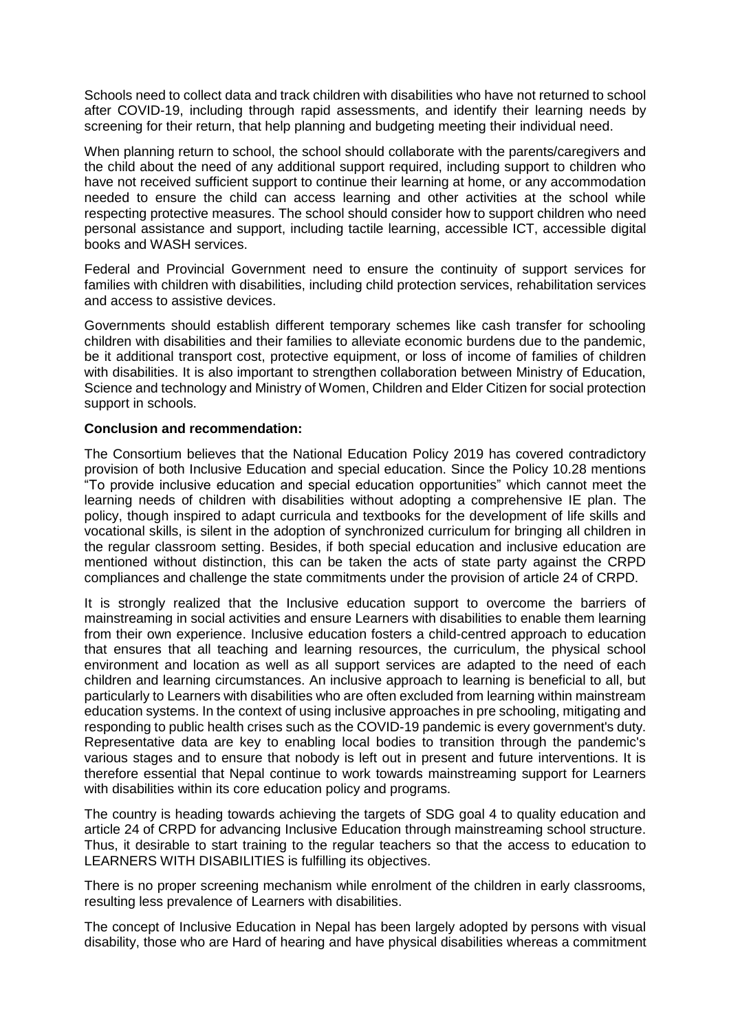Schools need to collect data and track children with disabilities who have not returned to school after COVID-19, including through rapid assessments, and identify their learning needs by screening for their return, that help planning and budgeting meeting their individual need.

When planning return to school, the school should collaborate with the parents/caregivers and the child about the need of any additional support required, including support to children who have not received sufficient support to continue their learning at home, or any accommodation needed to ensure the child can access learning and other activities at the school while respecting protective measures. The school should consider how to support children who need personal assistance and support, including tactile learning, accessible ICT, accessible digital books and WASH services.

Federal and Provincial Government need to ensure the continuity of support services for families with children with disabilities, including child protection services, rehabilitation services and access to assistive devices.

Governments should establish different temporary schemes like cash transfer for schooling children with disabilities and their families to alleviate economic burdens due to the pandemic, be it additional transport cost, protective equipment, or loss of income of families of children with disabilities. It is also important to strengthen collaboration between Ministry of Education, Science and technology and Ministry of Women, Children and Elder Citizen for social protection support in schools.

#### **Conclusion and recommendation:**

The Consortium believes that the National Education Policy 2019 has covered contradictory provision of both Inclusive Education and special education. Since the Policy 10.28 mentions "To provide inclusive education and special education opportunities" which cannot meet the learning needs of children with disabilities without adopting a comprehensive IE plan. The policy, though inspired to adapt curricula and textbooks for the development of life skills and vocational skills, is silent in the adoption of synchronized curriculum for bringing all children in the regular classroom setting. Besides, if both special education and inclusive education are mentioned without distinction, this can be taken the acts of state party against the CRPD compliances and challenge the state commitments under the provision of article 24 of CRPD.

It is strongly realized that the Inclusive education support to overcome the barriers of mainstreaming in social activities and ensure Learners with disabilities to enable them learning from their own experience. Inclusive education fosters a child-centred approach to education that ensures that all teaching and learning resources, the curriculum, the physical school environment and location as well as all support services are adapted to the need of each children and learning circumstances. An inclusive approach to learning is beneficial to all, but particularly to Learners with disabilities who are often excluded from learning within mainstream education systems. In the context of using inclusive approaches in pre schooling, mitigating and responding to public health crises such as the COVID-19 pandemic is every government's duty. Representative data are key to enabling local bodies to transition through the pandemic's various stages and to ensure that nobody is left out in present and future interventions. It is therefore essential that Nepal continue to work towards mainstreaming support for Learners with disabilities within its core education policy and programs.

The country is heading towards achieving the targets of SDG goal 4 to quality education and article 24 of CRPD for advancing Inclusive Education through mainstreaming school structure. Thus, it desirable to start training to the regular teachers so that the access to education to LEARNERS WITH DISABILITIES is fulfilling its objectives.

There is no proper screening mechanism while enrolment of the children in early classrooms, resulting less prevalence of Learners with disabilities.

The concept of Inclusive Education in Nepal has been largely adopted by persons with visual disability, those who are Hard of hearing and have physical disabilities whereas a commitment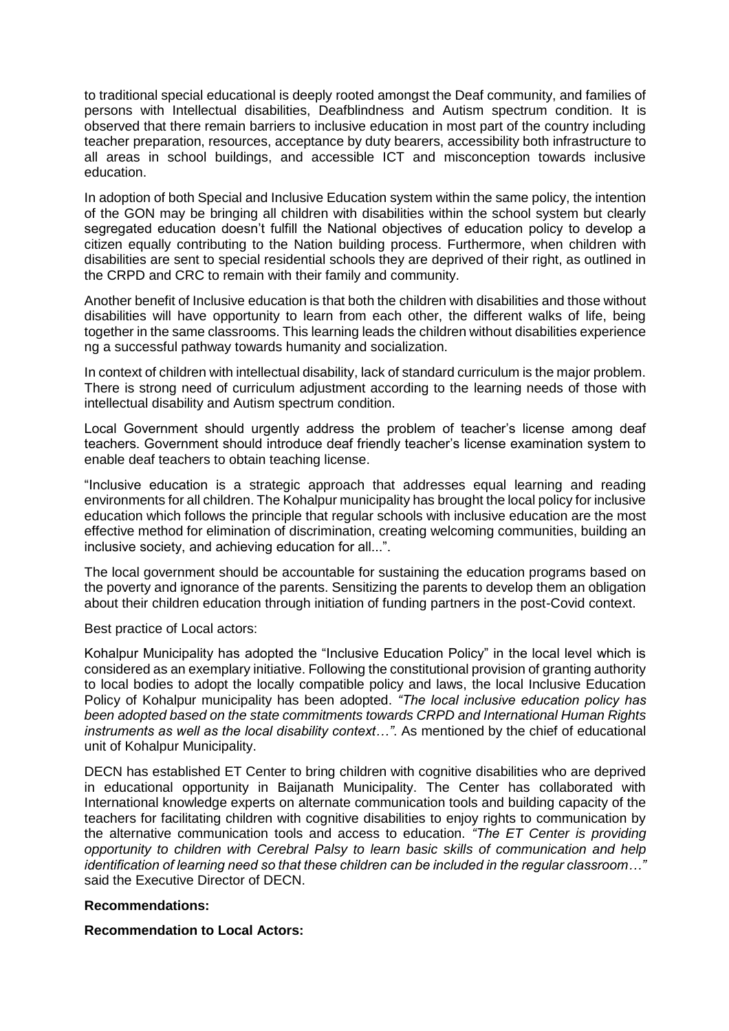to traditional special educational is deeply rooted amongst the Deaf community, and families of persons with Intellectual disabilities, Deafblindness and Autism spectrum condition. It is observed that there remain barriers to inclusive education in most part of the country including teacher preparation, resources, acceptance by duty bearers, accessibility both infrastructure to all areas in school buildings, and accessible ICT and misconception towards inclusive education.

In adoption of both Special and Inclusive Education system within the same policy, the intention of the GON may be bringing all children with disabilities within the school system but clearly segregated education doesn't fulfill the National objectives of education policy to develop a citizen equally contributing to the Nation building process. Furthermore, when children with disabilities are sent to special residential schools they are deprived of their right, as outlined in the CRPD and CRC to remain with their family and community.

Another benefit of Inclusive education is that both the children with disabilities and those without disabilities will have opportunity to learn from each other, the different walks of life, being together in the same classrooms. This learning leads the children without disabilities experience ng a successful pathway towards humanity and socialization.

In context of children with intellectual disability, lack of standard curriculum is the major problem. There is strong need of curriculum adjustment according to the learning needs of those with intellectual disability and Autism spectrum condition.

Local Government should urgently address the problem of teacher's license among deaf teachers. Government should introduce deaf friendly teacher's license examination system to enable deaf teachers to obtain teaching license.

"Inclusive education is a strategic approach that addresses equal learning and reading environments for all children. The Kohalpur municipality has brought the local policy for inclusive education which follows the principle that regular schools with inclusive education are the most effective method for elimination of discrimination, creating welcoming communities, building an inclusive society, and achieving education for all...".

The local government should be accountable for sustaining the education programs based on the poverty and ignorance of the parents. Sensitizing the parents to develop them an obligation about their children education through initiation of funding partners in the post-Covid context.

Best practice of Local actors:

Kohalpur Municipality has adopted the "Inclusive Education Policy" in the local level which is considered as an exemplary initiative. Following the constitutional provision of granting authority to local bodies to adopt the locally compatible policy and laws, the local Inclusive Education Policy of Kohalpur municipality has been adopted. *"The local inclusive education policy has been adopted based on the state commitments towards CRPD and International Human Rights instruments as well as the local disability context…"*. As mentioned by the chief of educational unit of Kohalpur Municipality.

DECN has established ET Center to bring children with cognitive disabilities who are deprived in educational opportunity in Baijanath Municipality. The Center has collaborated with International knowledge experts on alternate communication tools and building capacity of the teachers for facilitating children with cognitive disabilities to enjoy rights to communication by the alternative communication tools and access to education. *"The ET Center is providing opportunity to children with Cerebral Palsy to learn basic skills of communication and help identification of learning need so that these children can be included in the regular classroom…"* said the Executive Director of DECN.

# **Recommendations:**

# **Recommendation to Local Actors:**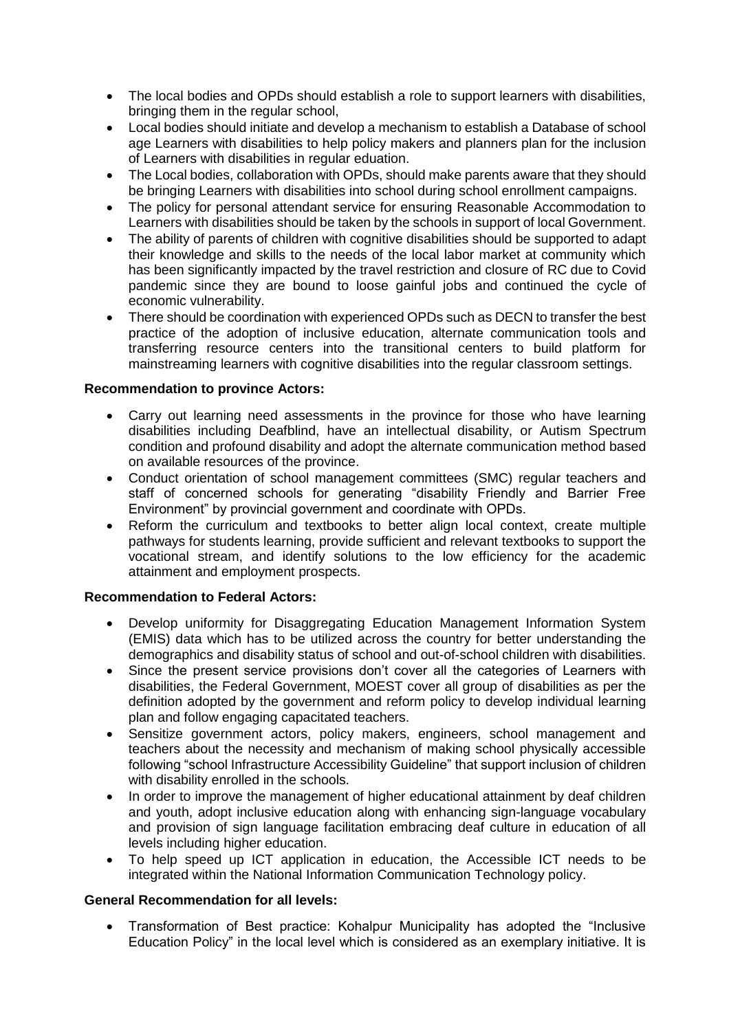- The local bodies and OPDs should establish a role to support learners with disabilities, bringing them in the regular school,
- Local bodies should initiate and develop a mechanism to establish a Database of school age Learners with disabilities to help policy makers and planners plan for the inclusion of Learners with disabilities in regular eduation.
- The Local bodies, collaboration with OPDs, should make parents aware that they should be bringing Learners with disabilities into school during school enrollment campaigns.
- The policy for personal attendant service for ensuring Reasonable Accommodation to Learners with disabilities should be taken by the schools in support of local Government.
- The ability of parents of children with cognitive disabilities should be supported to adapt their knowledge and skills to the needs of the local labor market at community which has been significantly impacted by the travel restriction and closure of RC due to Covid pandemic since they are bound to loose gainful jobs and continued the cycle of economic vulnerability.
- There should be coordination with experienced OPDs such as DECN to transfer the best practice of the adoption of inclusive education, alternate communication tools and transferring resource centers into the transitional centers to build platform for mainstreaming learners with cognitive disabilities into the regular classroom settings.

# **Recommendation to province Actors:**

- Carry out learning need assessments in the province for those who have learning disabilities including Deafblind, have an intellectual disability, or Autism Spectrum condition and profound disability and adopt the alternate communication method based on available resources of the province.
- Conduct orientation of school management committees (SMC) regular teachers and staff of concerned schools for generating "disability Friendly and Barrier Free Environment" by provincial government and coordinate with OPDs.
- Reform the curriculum and textbooks to better align local context, create multiple pathways for students learning, provide sufficient and relevant textbooks to support the vocational stream, and identify solutions to the low efficiency for the academic attainment and employment prospects.

# **Recommendation to Federal Actors:**

- Develop uniformity for Disaggregating Education Management Information System (EMIS) data which has to be utilized across the country for better understanding the demographics and disability status of school and out-of-school children with disabilities.
- Since the present service provisions don't cover all the categories of Learners with disabilities, the Federal Government, MOEST cover all group of disabilities as per the definition adopted by the government and reform policy to develop individual learning plan and follow engaging capacitated teachers.
- Sensitize government actors, policy makers, engineers, school management and teachers about the necessity and mechanism of making school physically accessible following "school Infrastructure Accessibility Guideline" that support inclusion of children with disability enrolled in the schools.
- In order to improve the management of higher educational attainment by deaf children and youth, adopt inclusive education along with enhancing sign-language vocabulary and provision of sign language facilitation embracing deaf culture in education of all levels including higher education.
- To help speed up ICT application in education, the Accessible ICT needs to be integrated within the National Information Communication Technology policy.

# **General Recommendation for all levels:**

 Transformation of Best practice: Kohalpur Municipality has adopted the "Inclusive Education Policy" in the local level which is considered as an exemplary initiative. It is